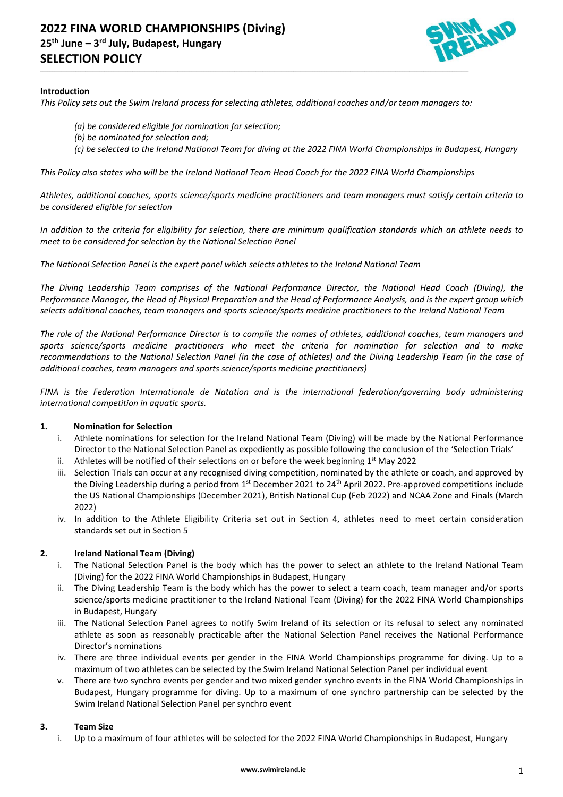

## **Introduction**

*This Policy sets out the Swim Ireland process for selecting athletes, additional coaches and/or team managers to:*

\_\_\_\_\_\_\_\_\_\_\_\_\_\_\_\_\_\_\_\_\_\_\_\_\_\_\_\_\_\_\_\_\_\_\_\_\_\_\_\_\_\_\_\_\_\_\_\_\_\_\_\_\_\_\_\_\_\_\_\_\_\_\_\_\_\_\_\_\_\_\_\_\_\_\_\_\_\_\_\_\_\_\_\_\_\_\_\_\_\_\_\_\_\_\_\_\_\_\_\_\_\_\_\_\_\_\_\_\_\_\_\_\_\_\_\_\_\_\_\_\_\_\_\_\_\_\_\_\_\_\_\_\_\_\_\_\_\_\_\_\_\_\_\_\_\_\_\_\_\_\_\_\_\_\_\_\_\_\_\_\_\_\_\_\_\_\_\_\_\_\_\_\_\_\_\_\_\_\_\_\_

- *(a) be considered eligible for nomination for selection;*
- *(b) be nominated for selection and;*
- *(c) be selected to the Ireland National Team for diving at the 2022 FINA World Championships in Budapest, Hungary*

*This Policy also states who will be the Ireland National Team Head Coach for the 2022 FINA World Championships*

*Athletes, additional coaches, sports science/sports medicine practitioners and team managers must satisfy certain criteria to be considered eligible for selection*

*In addition to the criteria for eligibility for selection, there are minimum qualification standards which an athlete needs to meet to be considered for selection by the National Selection Panel*

*The National Selection Panel is the expert panel which selects athletes to the Ireland National Team*

*The Diving Leadership Team comprises of the National Performance Director, the National Head Coach (Diving), the Performance Manager, the Head of Physical Preparation and the Head of Performance Analysis, and is the expert group which selects additional coaches, team managers and sports science/sports medicine practitioners to the Ireland National Team*

*The role of the National Performance Director is to compile the names of athletes, additional coaches, team managers and sports science/sports medicine practitioners who meet the criteria for nomination for selection and to make recommendations to the National Selection Panel (in the case of athletes) and the Diving Leadership Team (in the case of additional coaches, team managers and sports science/sports medicine practitioners)*

*FINA is the Federation Internationale de Natation and is the international federation/governing body administering international competition in aquatic sports.* 

## **1. Nomination for Selection**

- i. Athlete nominations for selection for the Ireland National Team (Diving) will be made by the National Performance Director to the National Selection Panel as expediently as possible following the conclusion of the 'Selection Trials'
- ii. Athletes will be notified of their selections on or before the week beginning  $1<sup>st</sup>$  May 2022
- iii. Selection Trials can occur at any recognised diving competition, nominated by the athlete or coach, and approved by the Diving Leadership during a period from 1st December 2021 to 24<sup>th</sup> April 2022. Pre-approved competitions include the US National Championships (December 2021), British National Cup (Feb 2022) and NCAA Zone and Finals (March 2022)
- iv. In addition to the Athlete Eligibility Criteria set out in Section 4, athletes need to meet certain consideration standards set out in Section 5

# **2. Ireland National Team (Diving)**

- i. The National Selection Panel is the body which has the power to select an athlete to the Ireland National Team (Diving) for the 2022 FINA World Championships in Budapest, Hungary
- ii. The Diving Leadership Team is the body which has the power to select a team coach, team manager and/or sports science/sports medicine practitioner to the Ireland National Team (Diving) for the 2022 FINA World Championships in Budapest, Hungary
- iii. The National Selection Panel agrees to notify Swim Ireland of its selection or its refusal to select any nominated athlete as soon as reasonably practicable after the National Selection Panel receives the National Performance Director's nominations
- iv. There are three individual events per gender in the FINA World Championships programme for diving. Up to a maximum of two athletes can be selected by the Swim Ireland National Selection Panel per individual event
- v. There are two synchro events per gender and two mixed gender synchro events in the FINA World Championships in Budapest, Hungary programme for diving. Up to a maximum of one synchro partnership can be selected by the Swim Ireland National Selection Panel per synchro event

## **3. Team Size**

i. Up to a maximum of four athletes will be selected for the 2022 FINA World Championships in Budapest, Hungary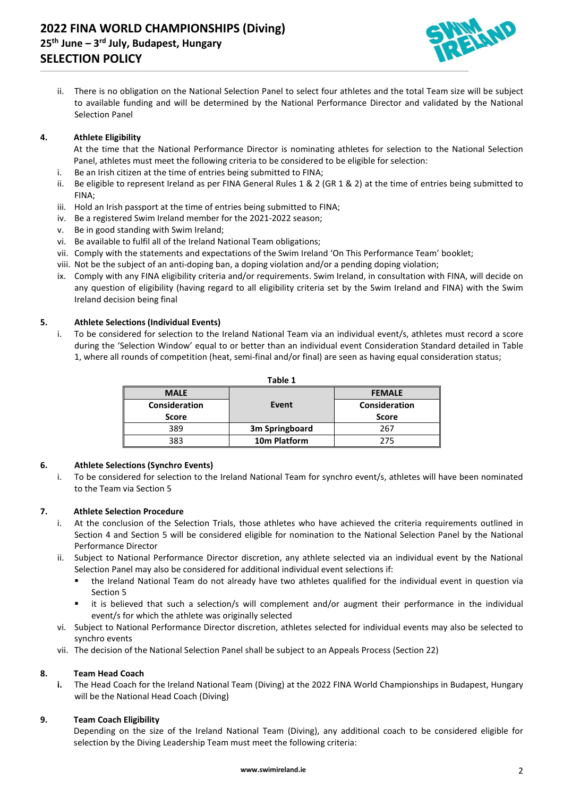

ii. There is no obligation on the National Selection Panel to select four athletes and the total Team size will be subject to available funding and will be determined by the National Performance Director and validated by the National Selection Panel

\_\_\_\_\_\_\_\_\_\_\_\_\_\_\_\_\_\_\_\_\_\_\_\_\_\_\_\_\_\_\_\_\_\_\_\_\_\_\_\_\_\_\_\_\_\_\_\_\_\_\_\_\_\_\_\_\_\_\_\_\_\_\_\_\_\_\_\_\_\_\_\_\_\_\_\_\_\_\_\_\_\_\_\_\_\_\_\_\_\_\_\_\_\_\_\_\_\_\_\_\_\_\_\_\_\_\_\_\_\_\_\_\_\_\_\_\_\_\_\_\_\_\_\_\_\_\_\_\_\_\_\_\_\_\_\_\_\_\_\_\_\_\_\_\_\_\_\_\_\_\_\_\_\_\_\_\_\_\_\_\_\_\_\_\_\_\_\_\_\_\_\_\_\_\_\_\_\_\_\_\_

# **4. Athlete Eligibility**

At the time that the National Performance Director is nominating athletes for selection to the National Selection Panel, athletes must meet the following criteria to be considered to be eligible for selection:

- i. Be an Irish citizen at the time of entries being submitted to FINA;
- ii. Be eligible to represent Ireland as per FINA General Rules 1 & 2 (GR 1 & 2) at the time of entries being submitted to FINA;
- iii. Hold an Irish passport at the time of entries being submitted to FINA;
- iv. Be a registered Swim Ireland member for the 2021-2022 season;
- v. Be in good standing with Swim Ireland;
- vi. Be available to fulfil all of the Ireland National Team obligations;
- vii. Comply with the statements and expectations of the Swim Ireland 'On This Performance Team' booklet;
- viii. Not be the subject of an anti-doping ban, a doping violation and/or a pending doping violation;
- ix. Comply with any FINA eligibility criteria and/or requirements. Swim Ireland, in consultation with FINA, will decide on any question of eligibility (having regard to all eligibility criteria set by the Swim Ireland and FINA) with the Swim Ireland decision being final

# **5. Athlete Selections (Individual Events)**

i. To be considered for selection to the Ireland National Team via an individual event/s, athletes must record a score during the 'Selection Window' equal to or better than an individual event Consideration Standard detailed in Table 1, where all rounds of competition (heat, semi-final and/or final) are seen as having equal consideration status;

| ault T               |                          |               |
|----------------------|--------------------------|---------------|
| <b>MALE</b>          |                          | <b>FEMALE</b> |
| <b>Consideration</b> | Event                    | Consideration |
| Score                |                          | Score         |
| 389                  | 3m Springboard           | 267           |
| 383                  | 10 <sub>m</sub> Platform | 275           |

**Table 1**

## **6. Athlete Selections (Synchro Events)**

i. To be considered for selection to the Ireland National Team for synchro event/s, athletes will have been nominated to the Team via Section 5

## **7. Athlete Selection Procedure**

- i. At the conclusion of the Selection Trials, those athletes who have achieved the criteria requirements outlined in Section 4 and Section 5 will be considered eligible for nomination to the National Selection Panel by the National Performance Director
- ii. Subject to National Performance Director discretion, any athlete selected via an individual event by the National Selection Panel may also be considered for additional individual event selections if:
	- the Ireland National Team do not already have two athletes qualified for the individual event in question via Section 5
	- it is believed that such a selection/s will complement and/or augment their performance in the individual event/s for which the athlete was originally selected
- vi. Subject to National Performance Director discretion, athletes selected for individual events may also be selected to synchro events
- vii. The decision of the National Selection Panel shall be subject to an Appeals Process (Section 22)

## **8. Team Head Coach**

**i.** The Head Coach for the Ireland National Team (Diving) at the 2022 FINA World Championships in Budapest, Hungary will be the National Head Coach (Diving)

## **9. Team Coach Eligibility**

Depending on the size of the Ireland National Team (Diving), any additional coach to be considered eligible for selection by the Diving Leadership Team must meet the following criteria: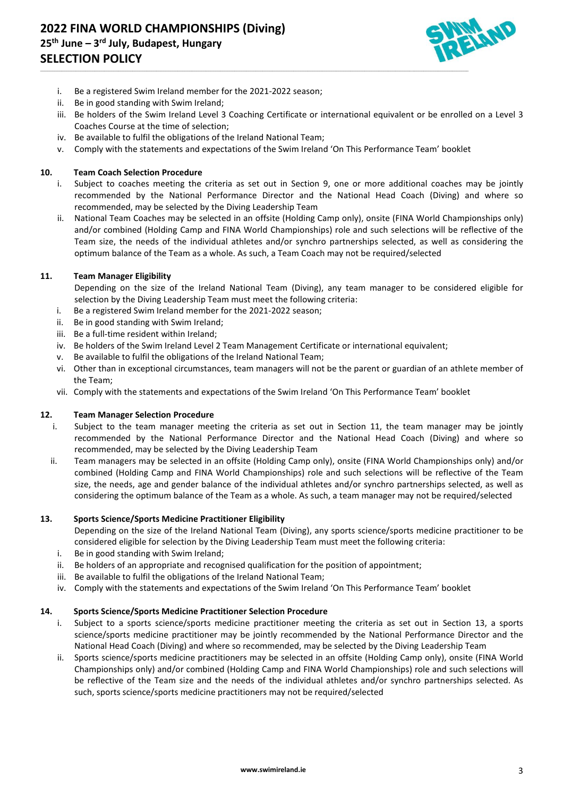

- i. Be a registered Swim Ireland member for the 2021-2022 season;
- ii. Be in good standing with Swim Ireland;
- iii. Be holders of the Swim Ireland Level 3 Coaching Certificate or international equivalent or be enrolled on a Level 3 Coaches Course at the time of selection;
- iv. Be available to fulfil the obligations of the Ireland National Team;
- v. Comply with the statements and expectations of the Swim Ireland 'On This Performance Team' booklet

\_\_\_\_\_\_\_\_\_\_\_\_\_\_\_\_\_\_\_\_\_\_\_\_\_\_\_\_\_\_\_\_\_\_\_\_\_\_\_\_\_\_\_\_\_\_\_\_\_\_\_\_\_\_\_\_\_\_\_\_\_\_\_\_\_\_\_\_\_\_\_\_\_\_\_\_\_\_\_\_\_\_\_\_\_\_\_\_\_\_\_\_\_\_\_\_\_\_\_\_\_\_\_\_\_\_\_\_\_\_\_\_\_\_\_\_\_\_\_\_\_\_\_\_\_\_\_\_\_\_\_\_\_\_\_\_\_\_\_\_\_\_\_\_\_\_\_\_\_\_\_\_\_\_\_\_\_\_\_\_\_\_\_\_\_\_\_\_\_\_\_\_\_\_\_\_\_\_\_\_\_

## **10. Team Coach Selection Procedure**

- i. Subject to coaches meeting the criteria as set out in Section 9, one or more additional coaches may be jointly recommended by the National Performance Director and the National Head Coach (Diving) and where so recommended, may be selected by the Diving Leadership Team
- ii. National Team Coaches may be selected in an offsite (Holding Camp only), onsite (FINA World Championships only) and/or combined (Holding Camp and FINA World Championships) role and such selections will be reflective of the Team size, the needs of the individual athletes and/or synchro partnerships selected, as well as considering the optimum balance of the Team as a whole. As such, a Team Coach may not be required/selected

## **11. Team Manager Eligibility**

Depending on the size of the Ireland National Team (Diving), any team manager to be considered eligible for selection by the Diving Leadership Team must meet the following criteria:

- i. Be a registered Swim Ireland member for the 2021-2022 season;
- ii. Be in good standing with Swim Ireland;
- iii. Be a full-time resident within Ireland;
- iv. Be holders of the Swim Ireland Level 2 Team Management Certificate or international equivalent;
- v. Be available to fulfil the obligations of the Ireland National Team;
- vi. Other than in exceptional circumstances, team managers will not be the parent or guardian of an athlete member of the Team;
- vii. Comply with the statements and expectations of the Swim Ireland 'On This Performance Team' booklet

## **12. Team Manager Selection Procedure**

- i. Subject to the team manager meeting the criteria as set out in Section 11, the team manager may be jointly recommended by the National Performance Director and the National Head Coach (Diving) and where so recommended, may be selected by the Diving Leadership Team
- ii. Team managers may be selected in an offsite (Holding Camp only), onsite (FINA World Championships only) and/or combined (Holding Camp and FINA World Championships) role and such selections will be reflective of the Team size, the needs, age and gender balance of the individual athletes and/or synchro partnerships selected, as well as considering the optimum balance of the Team as a whole. As such, a team manager may not be required/selected

## **13. Sports Science/Sports Medicine Practitioner Eligibility**

Depending on the size of the Ireland National Team (Diving), any sports science/sports medicine practitioner to be considered eligible for selection by the Diving Leadership Team must meet the following criteria:

- i. Be in good standing with Swim Ireland;
- ii. Be holders of an appropriate and recognised qualification for the position of appointment;
- iii. Be available to fulfil the obligations of the Ireland National Team;
- iv. Comply with the statements and expectations of the Swim Ireland 'On This Performance Team' booklet

# **14. Sports Science/Sports Medicine Practitioner Selection Procedure**

- i. Subject to a sports science/sports medicine practitioner meeting the criteria as set out in Section 13, a sports science/sports medicine practitioner may be jointly recommended by the National Performance Director and the National Head Coach (Diving) and where so recommended, may be selected by the Diving Leadership Team
- ii. Sports science/sports medicine practitioners may be selected in an offsite (Holding Camp only), onsite (FINA World Championships only) and/or combined (Holding Camp and FINA World Championships) role and such selections will be reflective of the Team size and the needs of the individual athletes and/or synchro partnerships selected. As such, sports science/sports medicine practitioners may not be required/selected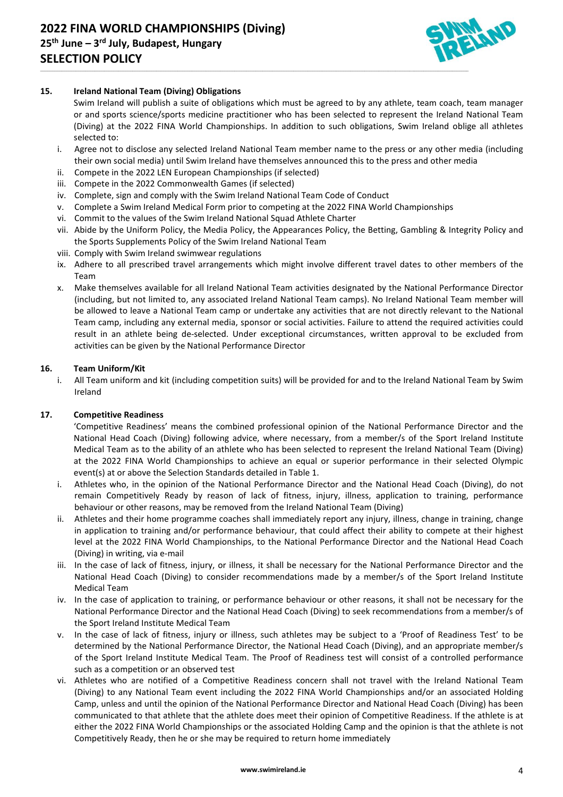

# **15. Ireland National Team (Diving) Obligations**

Swim Ireland will publish a suite of obligations which must be agreed to by any athlete, team coach, team manager or and sports science/sports medicine practitioner who has been selected to represent the Ireland National Team (Diving) at the 2022 FINA World Championships. In addition to such obligations, Swim Ireland oblige all athletes selected to:

- i. Agree not to disclose any selected Ireland National Team member name to the press or any other media (including their own social media) until Swim Ireland have themselves announced this to the press and other media
- ii. Compete in the 2022 LEN European Championships (if selected)
- iii. Compete in the 2022 Commonwealth Games (if selected)
- iv. Complete, sign and comply with the Swim Ireland National Team Code of Conduct
- v. Complete a Swim Ireland Medical Form prior to competing at the 2022 FINA World Championships

\_\_\_\_\_\_\_\_\_\_\_\_\_\_\_\_\_\_\_\_\_\_\_\_\_\_\_\_\_\_\_\_\_\_\_\_\_\_\_\_\_\_\_\_\_\_\_\_\_\_\_\_\_\_\_\_\_\_\_\_\_\_\_\_\_\_\_\_\_\_\_\_\_\_\_\_\_\_\_\_\_\_\_\_\_\_\_\_\_\_\_\_\_\_\_\_\_\_\_\_\_\_\_\_\_\_\_\_\_\_\_\_\_\_\_\_\_\_\_\_\_\_\_\_\_\_\_\_\_\_\_\_\_\_\_\_\_\_\_\_\_\_\_\_\_\_\_\_\_\_\_\_\_\_\_\_\_\_\_\_\_\_\_\_\_\_\_\_\_\_\_\_\_\_\_\_\_\_\_\_\_

- vi. Commit to the values of the Swim Ireland National Squad Athlete Charter
- vii. Abide by the Uniform Policy, the Media Policy, the Appearances Policy, the Betting, Gambling & Integrity Policy and the Sports Supplements Policy of the Swim Ireland National Team
- viii. Comply with Swim Ireland swimwear regulations
- ix. Adhere to all prescribed travel arrangements which might involve different travel dates to other members of the Team
- x. Make themselves available for all Ireland National Team activities designated by the National Performance Director (including, but not limited to, any associated Ireland National Team camps). No Ireland National Team member will be allowed to leave a National Team camp or undertake any activities that are not directly relevant to the National Team camp, including any external media, sponsor or social activities. Failure to attend the required activities could result in an athlete being de-selected. Under exceptional circumstances, written approval to be excluded from activities can be given by the National Performance Director

## **16. Team Uniform/Kit**

i. All Team uniform and kit (including competition suits) will be provided for and to the Ireland National Team by Swim Ireland

## **17. Competitive Readiness**

'Competitive Readiness' means the combined professional opinion of the National Performance Director and the National Head Coach (Diving) following advice, where necessary, from a member/s of the Sport Ireland Institute Medical Team as to the ability of an athlete who has been selected to represent the Ireland National Team (Diving) at the 2022 FINA World Championships to achieve an equal or superior performance in their selected Olympic event(s) at or above the Selection Standards detailed in Table 1.

- i. Athletes who, in the opinion of the National Performance Director and the National Head Coach (Diving), do not remain Competitively Ready by reason of lack of fitness, injury, illness, application to training, performance behaviour or other reasons, may be removed from the Ireland National Team (Diving)
- ii. Athletes and their home programme coaches shall immediately report any injury, illness, change in training, change in application to training and/or performance behaviour, that could affect their ability to compete at their highest level at the 2022 FINA World Championships, to the National Performance Director and the National Head Coach (Diving) in writing, via e-mail
- iii. In the case of lack of fitness, injury, or illness, it shall be necessary for the National Performance Director and the National Head Coach (Diving) to consider recommendations made by a member/s of the Sport Ireland Institute Medical Team
- iv. In the case of application to training, or performance behaviour or other reasons, it shall not be necessary for the National Performance Director and the National Head Coach (Diving) to seek recommendations from a member/s of the Sport Ireland Institute Medical Team
- v. In the case of lack of fitness, injury or illness, such athletes may be subject to a 'Proof of Readiness Test' to be determined by the National Performance Director, the National Head Coach (Diving), and an appropriate member/s of the Sport Ireland Institute Medical Team. The Proof of Readiness test will consist of a controlled performance such as a competition or an observed test
- vi. Athletes who are notified of a Competitive Readiness concern shall not travel with the Ireland National Team (Diving) to any National Team event including the 2022 FINA World Championships and/or an associated Holding Camp, unless and until the opinion of the National Performance Director and National Head Coach (Diving) has been communicated to that athlete that the athlete does meet their opinion of Competitive Readiness. If the athlete is at either the 2022 FINA World Championships or the associated Holding Camp and the opinion is that the athlete is not Competitively Ready, then he or she may be required to return home immediately